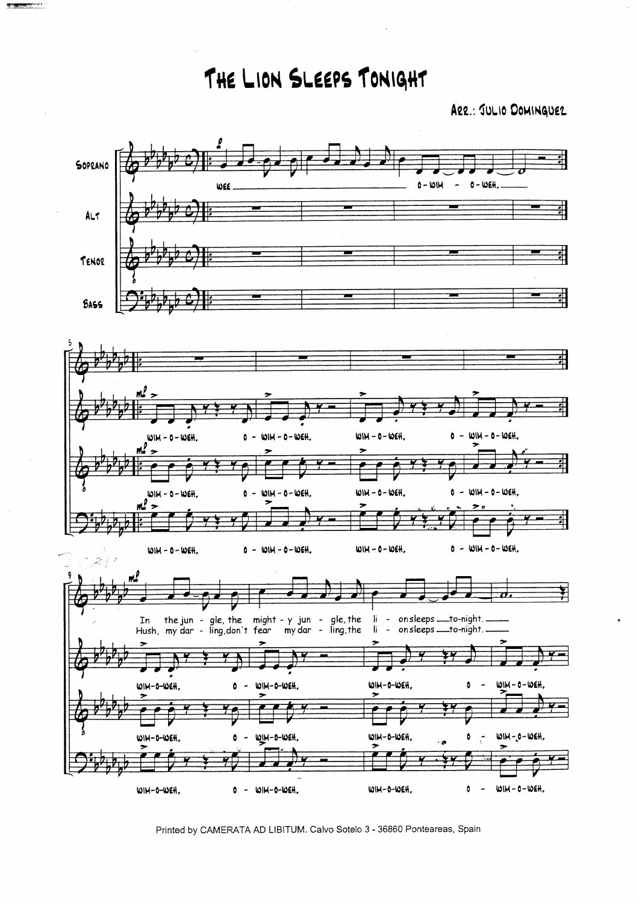THE LION SLEEPS TONIGHT

**Represent** 

ARR .: JULIO DOMINGUEZ



Printed by CAMERATA AD LIBITUM. Calvo Sotelo 3 - 36860 Ponteareas, Spain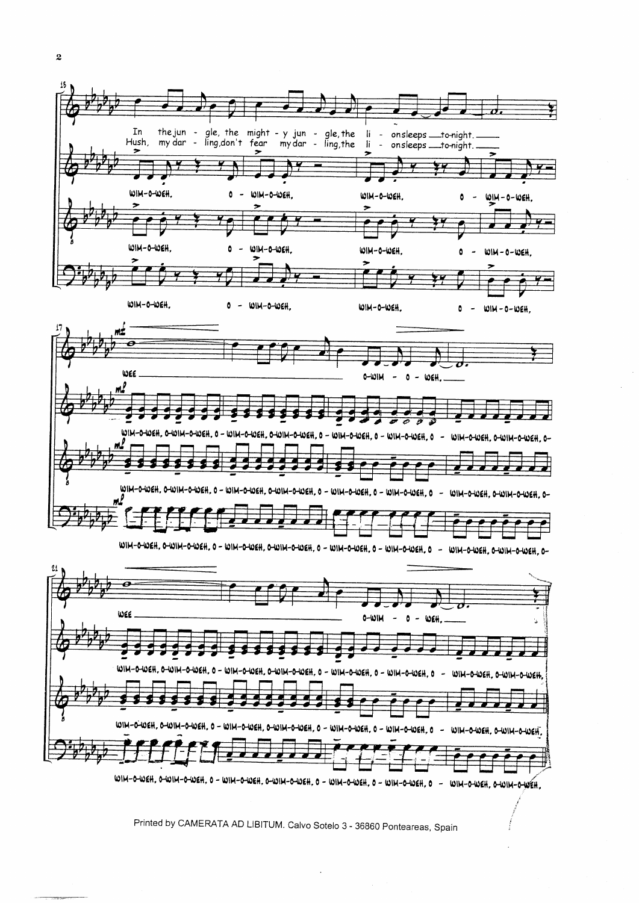

WIM-0-WEH, 0-WIM-0-WEH, 0 - WIM-0-WEH, 0-WIM-0-WEH, 0 - WIM-0-WEH, 0 - WIM-0-WEH, 0 - WIM-0-WEH, 0-WIM-0-WEH,

Printed by CAMERATA AD LIBITUM. Calvo Sotelo 3 - 36860 Ponteareas, Spain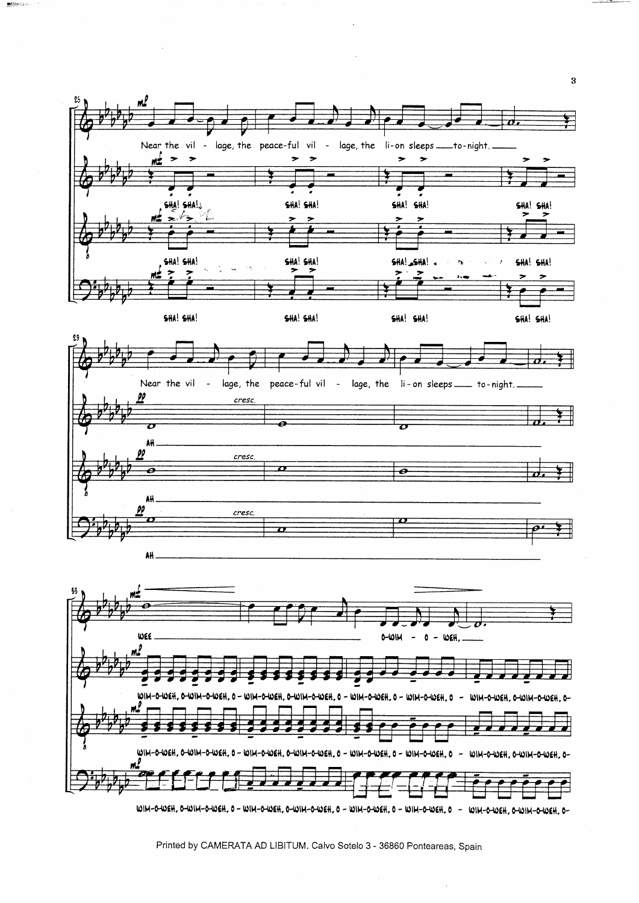

 $\text{minmax}(\alpha)$  .

Printed by CAMERATA AD LIBITUM. Calvo Sotelo 3 - 36860 Ponteareas, Spain

 $\bf{3}$